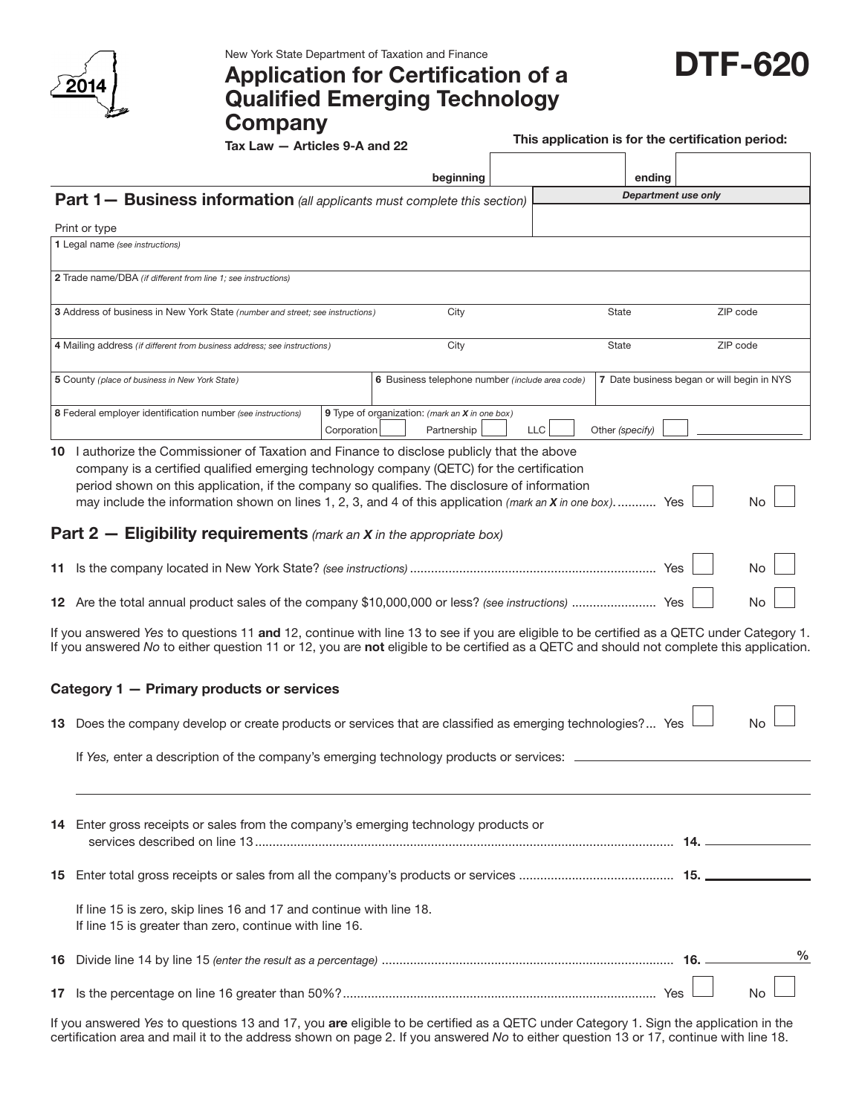

## DTF-620 New York State Department of Taxation and Finance Application for Certification of a Qualified Emerging Technology **Company**

| <b>DTF-620</b> |
|----------------|
|                |

 $\frac{1}{1}$  Tax Law — Articles 9-A and 22 This application is for the certification is for the certification period:

| his application is for the certification period: |  |
|--------------------------------------------------|--|
|--------------------------------------------------|--|

|                                                                                                                                                                                                                                                                                      |                                                                                                                                                                                                                                                                                                                                                                                                                                                                                             |             | beginning                                                     |  |              | ending                                     |                     |      |
|--------------------------------------------------------------------------------------------------------------------------------------------------------------------------------------------------------------------------------------------------------------------------------------|---------------------------------------------------------------------------------------------------------------------------------------------------------------------------------------------------------------------------------------------------------------------------------------------------------------------------------------------------------------------------------------------------------------------------------------------------------------------------------------------|-------------|---------------------------------------------------------------|--|--------------|--------------------------------------------|---------------------|------|
| <b>Part 1- Business information</b> (all applicants must complete this section)                                                                                                                                                                                                      |                                                                                                                                                                                                                                                                                                                                                                                                                                                                                             |             |                                                               |  |              |                                            | Department use only |      |
|                                                                                                                                                                                                                                                                                      | Print or type                                                                                                                                                                                                                                                                                                                                                                                                                                                                               |             |                                                               |  |              |                                            |                     |      |
|                                                                                                                                                                                                                                                                                      | 1 Legal name (see instructions)                                                                                                                                                                                                                                                                                                                                                                                                                                                             |             |                                                               |  |              |                                            |                     |      |
|                                                                                                                                                                                                                                                                                      | 2 Trade name/DBA (if different from line 1; see instructions)                                                                                                                                                                                                                                                                                                                                                                                                                               |             |                                                               |  |              |                                            |                     |      |
|                                                                                                                                                                                                                                                                                      | 3 Address of business in New York State (number and street; see instructions)                                                                                                                                                                                                                                                                                                                                                                                                               |             | City                                                          |  |              | State                                      | ZIP code            |      |
| 4 Mailing address (if different from business address; see instructions)                                                                                                                                                                                                             |                                                                                                                                                                                                                                                                                                                                                                                                                                                                                             |             | City                                                          |  | <b>State</b> |                                            | ZIP code            |      |
|                                                                                                                                                                                                                                                                                      | 5 County (place of business in New York State)                                                                                                                                                                                                                                                                                                                                                                                                                                              |             | 6 Business telephone number (include area code)               |  |              | 7 Date business began or will begin in NYS |                     |      |
|                                                                                                                                                                                                                                                                                      | 8 Federal employer identification number (see instructions)                                                                                                                                                                                                                                                                                                                                                                                                                                 | Corporation | 9 Type of organization: (mark an X in one box)<br>Partnership |  | <b>LLC</b>   | Other (specify)                            |                     |      |
|                                                                                                                                                                                                                                                                                      | 10 I authorize the Commissioner of Taxation and Finance to disclose publicly that the above<br>company is a certified qualified emerging technology company (QETC) for the certification<br>period shown on this application, if the company so qualifies. The disclosure of information<br>No<br>may include the information shown on lines 1, 2, 3, and 4 of this application (mark an X in one box) Yes<br><b>Part 2 – Eligibility requirements</b> (mark an $X$ in the appropriate box) |             |                                                               |  |              |                                            |                     |      |
|                                                                                                                                                                                                                                                                                      |                                                                                                                                                                                                                                                                                                                                                                                                                                                                                             |             |                                                               |  |              |                                            |                     | No   |
|                                                                                                                                                                                                                                                                                      | No                                                                                                                                                                                                                                                                                                                                                                                                                                                                                          |             |                                                               |  |              |                                            |                     |      |
| If you answered Yes to questions 11 and 12, continue with line 13 to see if you are eligible to be certified as a QETC under Category 1.<br>If you answered No to either question 11 or 12, you are not eligible to be certified as a QETC and should not complete this application. |                                                                                                                                                                                                                                                                                                                                                                                                                                                                                             |             |                                                               |  |              |                                            |                     |      |
|                                                                                                                                                                                                                                                                                      | Category 1 - Primary products or services                                                                                                                                                                                                                                                                                                                                                                                                                                                   |             |                                                               |  |              |                                            |                     |      |
|                                                                                                                                                                                                                                                                                      | 13 Does the company develop or create products or services that are classified as emerging technologies? Yes                                                                                                                                                                                                                                                                                                                                                                                |             |                                                               |  |              |                                            |                     | Nο   |
|                                                                                                                                                                                                                                                                                      | If Yes, enter a description of the company's emerging technology products or services: .                                                                                                                                                                                                                                                                                                                                                                                                    |             |                                                               |  |              |                                            |                     |      |
|                                                                                                                                                                                                                                                                                      | 14 Enter gross receipts or sales from the company's emerging technology products or                                                                                                                                                                                                                                                                                                                                                                                                         |             |                                                               |  |              |                                            |                     |      |
| 15                                                                                                                                                                                                                                                                                   |                                                                                                                                                                                                                                                                                                                                                                                                                                                                                             |             |                                                               |  |              |                                            |                     |      |
|                                                                                                                                                                                                                                                                                      | If line 15 is zero, skip lines 16 and 17 and continue with line 18.<br>If line 15 is greater than zero, continue with line 16.                                                                                                                                                                                                                                                                                                                                                              |             |                                                               |  |              |                                            |                     |      |
| 16                                                                                                                                                                                                                                                                                   |                                                                                                                                                                                                                                                                                                                                                                                                                                                                                             |             |                                                               |  |              |                                            |                     | $\%$ |
| 17                                                                                                                                                                                                                                                                                   |                                                                                                                                                                                                                                                                                                                                                                                                                                                                                             |             |                                                               |  |              |                                            |                     | No   |

If you answered *Yes* to questions 13 and 17, you are eligible to be certified as a QETC under Category 1. Sign the application in the certification area and mail it to the address shown on page 2. If you answered *No* to either question 13 or 17, continue with line 18.